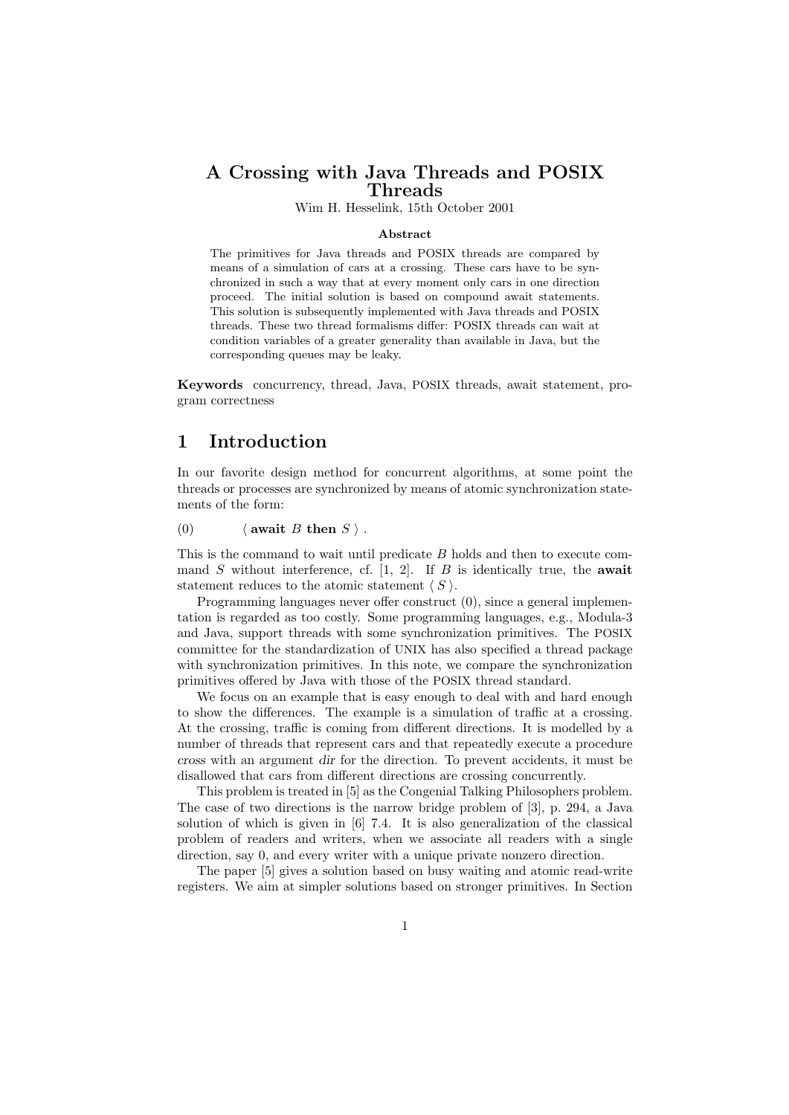## A Crossing with Java Threads and POSIX Threads

Wim H. Hesselink, 15th October 2001

#### Abstract

The primitives for Java threads and POSIX threads are compared by means of a simulation of cars at a crossing. These cars have to be synchronized in such a way that at every moment only cars in one direction proceed. The initial solution is based on compound await statements. This solution is subsequently implemented with Java threads and POSIX threads. These two thread formalisms differ: POSIX threads can wait at condition variables of a greater generality than available in Java, but the corresponding queues may be leaky.

Keywords concurrency, thread, Java, POSIX threads, await statement, program correctness

## 1 Introduction

In our favorite design method for concurrent algorithms, at some point the threads or processes are synchronized by means of atomic synchronization statements of the form:

#### (0)  $\langle$  await B then S  $\rangle$ .

This is the command to wait until predicate B holds and then to execute command  $S$  without interference, cf. [1, 2]. If  $B$  is identically true, the **await** statement reduces to the atomic statement  $\langle S \rangle$ .

Programming languages never offer construct (0), since a general implementation is regarded as too costly. Some programming languages, e.g., Modula-3 and Java, support threads with some synchronization primitives. The POSIX committee for the standardization of UNIX has also specified a thread package with synchronization primitives. In this note, we compare the synchronization primitives offered by Java with those of the POSIX thread standard.

We focus on an example that is easy enough to deal with and hard enough to show the differences. The example is a simulation of traffic at a crossing. At the crossing, traffic is coming from different directions. It is modelled by a number of threads that represent cars and that repeatedly execute a procedure cross with an argument dir for the direction. To prevent accidents, it must be disallowed that cars from different directions are crossing concurrently.

This problem is treated in [5] as the Congenial Talking Philosophers problem. The case of two directions is the narrow bridge problem of [3], p. 294, a Java solution of which is given in [6] 7.4. It is also generalization of the classical problem of readers and writers, when we associate all readers with a single direction, say 0, and every writer with a unique private nonzero direction.

The paper [5] gives a solution based on busy waiting and atomic read-write registers. We aim at simpler solutions based on stronger primitives. In Section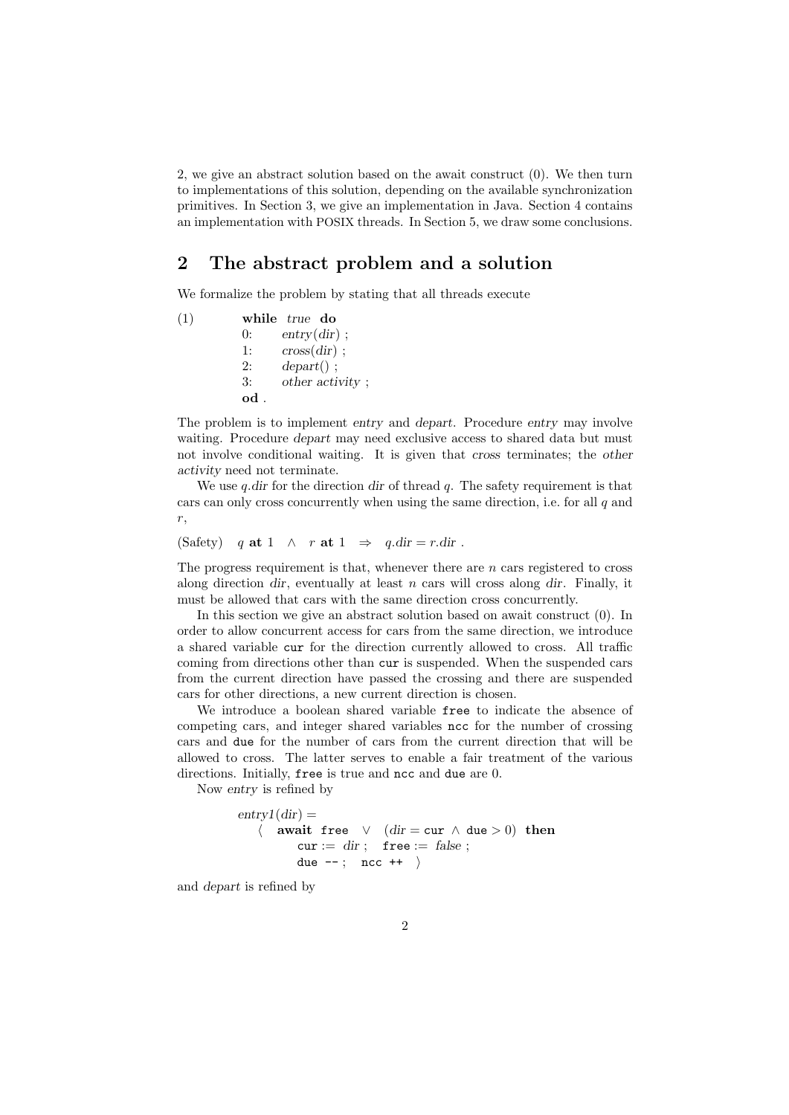2, we give an abstract solution based on the await construct (0). We then turn to implementations of this solution, depending on the available synchronization primitives. In Section 3, we give an implementation in Java. Section 4 contains an implementation with POSIX threads. In Section 5, we draw some conclusions.

## 2 The abstract problem and a solution

We formalize the problem by stating that all threads execute

(1) while true do  $0:$  entry $(dir):$ 1:  $\cos(\text{dir})$ :  $2:$  depart $()$  ; 3: other activity ; od .

The problem is to implement entry and depart. Procedure entry may involve waiting. Procedure *depart* may need exclusive access to shared data but must not involve conditional waiting. It is given that cross terminates; the other activity need not terminate.

We use *q*.dir for the direction dir of thread *q*. The safety requirement is that cars can only cross concurrently when using the same direction, i.e. for all  $q$  and r,

(Safety) q at 1  $\land$  r at 1  $\Rightarrow$  q.dir = r.dir.

The progress requirement is that, whenever there are n cars registered to cross along direction dir, eventually at least n cars will cross along dir. Finally, it must be allowed that cars with the same direction cross concurrently.

In this section we give an abstract solution based on await construct (0). In order to allow concurrent access for cars from the same direction, we introduce a shared variable cur for the direction currently allowed to cross. All traffic coming from directions other than cur is suspended. When the suspended cars from the current direction have passed the crossing and there are suspended cars for other directions, a new current direction is chosen.

We introduce a boolean shared variable free to indicate the absence of competing cars, and integer shared variables ncc for the number of crossing cars and due for the number of cars from the current direction that will be allowed to cross. The latter serves to enable a fair treatment of the various directions. Initially, free is true and ncc and due are 0.

Now entry is refined by

```
entrv1(dr) =\langle await free \lor (dr = cur \land due > 0) then
         cur := dir; free := false;
         due --; ncc ++ \rangle
```
and depart is refined by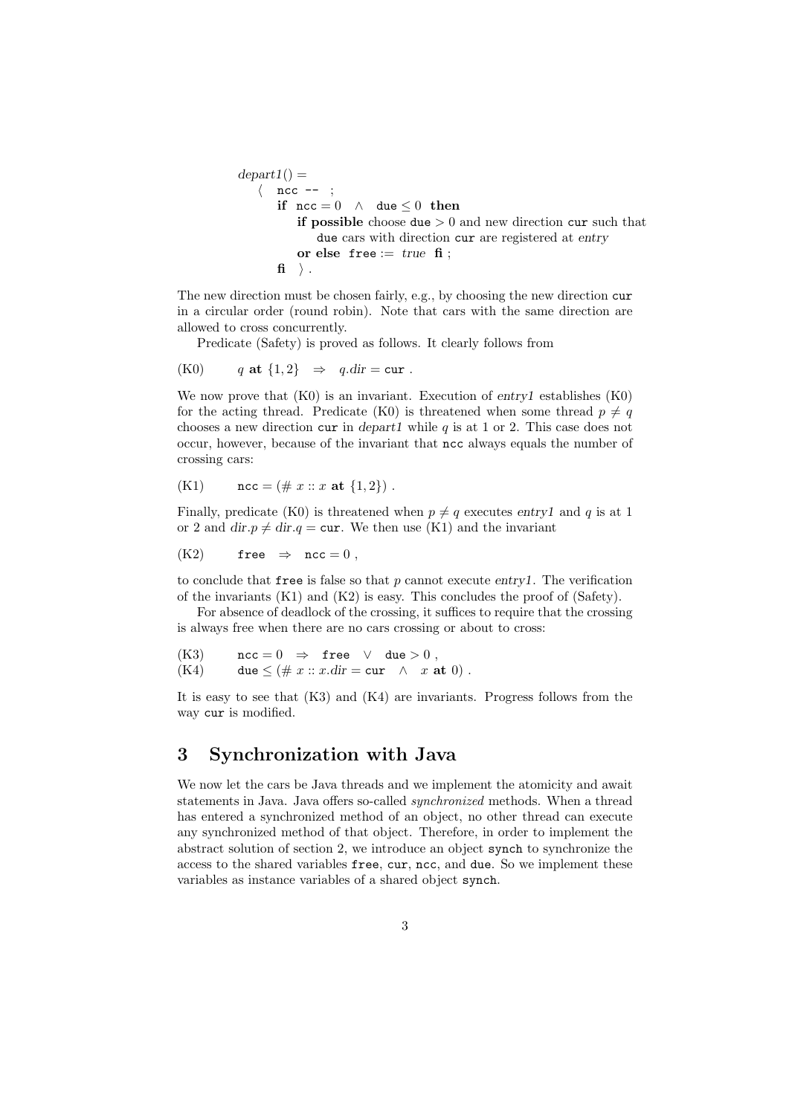```
depart1() =\langle ncc --;
        if \operatorname{ncc} = 0 \land \operatorname{due} \leq 0 then
            if possible choose due > 0 and new direction cur such that
                due cars with direction cur are registered at entry
            or else free := true fi;
        \mathbf{f} \rangle .
```
The new direction must be chosen fairly, e.g., by choosing the new direction cur in a circular order (round robin). Note that cars with the same direction are allowed to cross concurrently.

Predicate (Safety) is proved as follows. It clearly follows from

(K0) 
$$
q
$$
 at  $\{1,2\} \Rightarrow q \cdot \text{dir} = \text{cur}.$ 

We now prove that  $(K0)$  is an invariant. Execution of entryl establishes  $(K0)$ for the acting thread. Predicate (K0) is threatened when some thread  $p \neq q$ chooses a new direction cur in depart1 while  $q$  is at 1 or 2. This case does not occur, however, because of the invariant that ncc always equals the number of crossing cars:

(K1) 
$$
\text{ncc} = (\# x :: x \text{ at } \{1,2\})
$$
.

Finally, predicate (K0) is threatened when  $p \neq q$  executes entry1 and q is at 1 or 2 and dir. $p \neq$  dir. $q =$  cur. We then use (K1) and the invariant

$$
\hbox{(K2)} \qquad \hbox{free } \Rightarrow \hbox{ ncc} = 0 \; ,
$$

to conclude that free is false so that  $p$  cannot execute entry1. The verification of the invariants (K1) and (K2) is easy. This concludes the proof of (Safety).

For absence of deadlock of the crossing, it suffices to require that the crossing is always free when there are no cars crossing or about to cross:

(K3) 
$$
\text{ncc} = 0 \Rightarrow \text{free} \lor \text{due} > 0,
$$

(K4) 
$$
\text{due} \leq (\# x :: x \cdot \text{dir} = \text{cur } \wedge x \text{ at } 0).
$$

It is easy to see that (K3) and (K4) are invariants. Progress follows from the way cur is modified.

### 3 Synchronization with Java

We now let the cars be Java threads and we implement the atomicity and await statements in Java. Java offers so-called synchronized methods. When a thread has entered a synchronized method of an object, no other thread can execute any synchronized method of that object. Therefore, in order to implement the abstract solution of section 2, we introduce an object synch to synchronize the access to the shared variables free, cur, ncc, and due. So we implement these variables as instance variables of a shared object synch.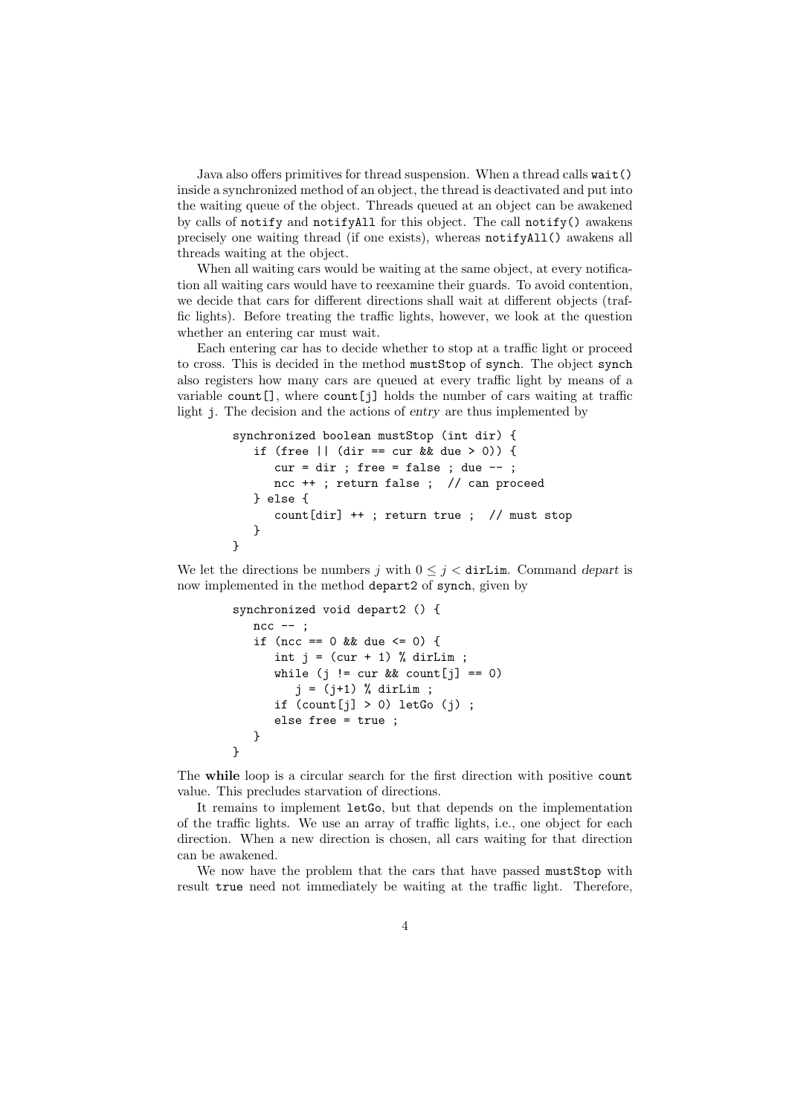Java also offers primitives for thread suspension. When a thread calls wait() inside a synchronized method of an object, the thread is deactivated and put into the waiting queue of the object. Threads queued at an object can be awakened by calls of notify and notifyAll for this object. The call notify() awakens precisely one waiting thread (if one exists), whereas notifyAll() awakens all threads waiting at the object.

When all waiting cars would be waiting at the same object, at every notification all waiting cars would have to reexamine their guards. To avoid contention, we decide that cars for different directions shall wait at different objects (traffic lights). Before treating the traffic lights, however, we look at the question whether an entering car must wait.

Each entering car has to decide whether to stop at a traffic light or proceed to cross. This is decided in the method mustStop of synch. The object synch also registers how many cars are queued at every traffic light by means of a variable count  $[$ ], where count  $[j]$  holds the number of cars waiting at traffic light j. The decision and the actions of entry are thus implemented by

```
synchronized boolean mustStop (int dir) {
   if (free || (dir == cur && due > 0)) {
      cur = dir; free = false; due --;
     ncc ++ ; return false ; // can proceed
   } else {
      count[dir] ++ ; return true ; // must stop
   }
}
```
We let the directions be numbers j with  $0 \leq j <$  dirLim. Command depart is now implemented in the method depart2 of synch, given by

```
synchronized void depart2 () {
   ncc -- ;if (ncc == 0 && due <= 0) {
      int j = (cur + 1) % dirLim;
      while (j != cur && count[j] == 0)
         j = (j+1) % dirLim ;
      if \text{(count[i]} > 0) letGo (i);
      else free = true ;
   }
}
```
The while loop is a circular search for the first direction with positive count value. This precludes starvation of directions.

It remains to implement letGo, but that depends on the implementation of the traffic lights. We use an array of traffic lights, i.e., one object for each direction. When a new direction is chosen, all cars waiting for that direction can be awakened.

We now have the problem that the cars that have passed mustStop with result true need not immediately be waiting at the traffic light. Therefore,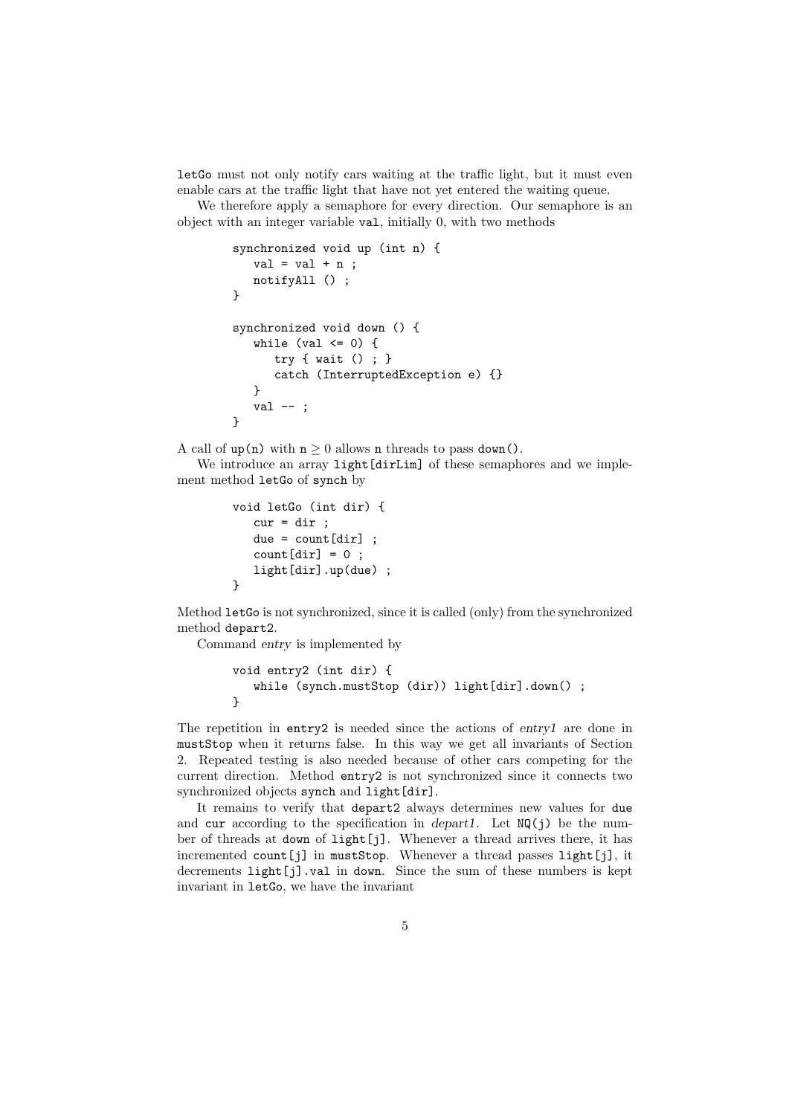letGo must not only notify cars waiting at the traffic light, but it must even enable cars at the traffic light that have not yet entered the waiting queue.

We therefore apply a semaphore for every direction. Our semaphore is an object with an integer variable val, initially 0, with two methods

```
synchronized void up (int n) {
   val = val + n ;
  notifyAll () ;
}
synchronized void down () {
   while (val \leq 0) {
      try { wait () ; }
      catch (InterruptedException e) {}
   }
  val --;
}
```
A call of up(n) with  $n \geq 0$  allows n threads to pass down().

We introduce an array light [dirLim] of these semaphores and we implement method letGo of synch by

```
void letGo (int dir) {
   cur = dir ;
   due = count[dir];
   count[dir] = 0;
   light[dir].up(due) ;
}
```
Method letGo is not synchronized, since it is called (only) from the synchronized method depart2.

Command entry is implemented by

```
void entry2 (int dir) {
   while (synch.mustStop (dir)) light[dir].down() ;
}
```
The repetition in entry2 is needed since the actions of entry1 are done in mustStop when it returns false. In this way we get all invariants of Section 2. Repeated testing is also needed because of other cars competing for the current direction. Method entry2 is not synchronized since it connects two synchronized objects synch and light [dir].

It remains to verify that depart2 always determines new values for due and cur according to the specification in depart1. Let  $NQ(j)$  be the number of threads at down of light[j]. Whenever a thread arrives there, it has incremented count[j] in mustStop. Whenever a thread passes light[j], it decrements light[j].val in down. Since the sum of these numbers is kept invariant in letGo, we have the invariant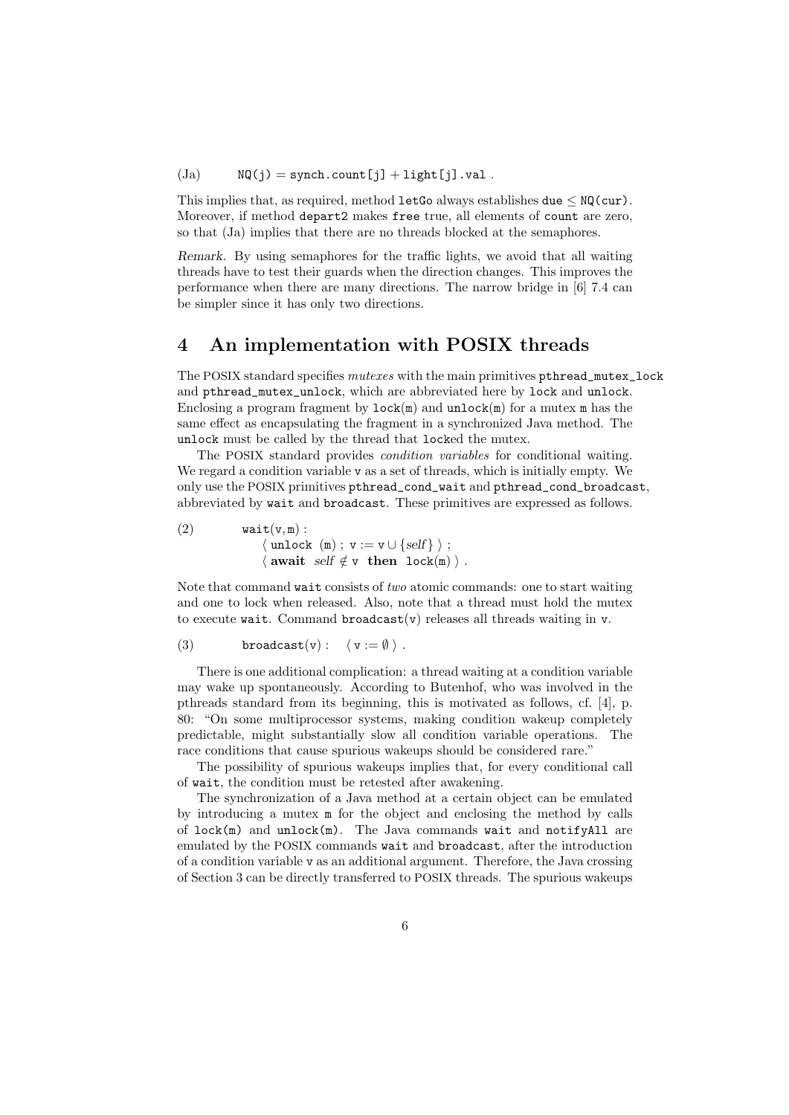$(Ja)$  NQ(j) = synch.count[j] + light[j].val.

This implies that, as required, method letGo always establishes due  $\leq NQ(\text{cur})$ . Moreover, if method depart2 makes free true, all elements of count are zero, so that (Ja) implies that there are no threads blocked at the semaphores.

Remark. By using semaphores for the traffic lights, we avoid that all waiting threads have to test their guards when the direction changes. This improves the performance when there are many directions. The narrow bridge in [6] 7.4 can be simpler since it has only two directions.

## 4 An implementation with POSIX threads

The POSIX standard specifies  $mutexes$  with the main primitives pthread\_mutex\_lock and pthread\_mutex\_unlock, which are abbreviated here by lock and unlock. Enclosing a program fragment by  $lock(m)$  and  $unlock(m)$  for a mutex m has the same effect as encapsulating the fragment in a synchronized Java method. The unlock must be called by the thread that locked the mutex.

The POSIX standard provides condition variables for conditional waiting. We regard a condition variable v as a set of threads, which is initially empty. We only use the POSIX primitives pthread\_cond\_wait and pthread\_cond\_broadcast, abbreviated by wait and broadcast. These primitives are expressed as follows.

(2) 
$$
\begin{array}{ll}\n\text{wait}(v, m) : \\
& \langle \text{ unlock } (m) ; v := v \cup \{ \text{self} \} \rangle ; \\
& \langle \text{ await } \text{ self } \notin v \text{ then } \text{ lock}(m) \rangle .\n\end{array}
$$

Note that command wait consists of two atomic commands: one to start waiting and one to lock when released. Also, note that a thread must hold the mutex to execute wait. Command broadcast(v) releases all threads waiting in v.

(3) 
$$
broadcast(v): \langle v := \emptyset \rangle.
$$

There is one additional complication: a thread waiting at a condition variable may wake up spontaneously. According to Butenhof, who was involved in the pthreads standard from its beginning, this is motivated as follows, cf. [4], p. 80: "On some multiprocessor systems, making condition wakeup completely predictable, might substantially slow all condition variable operations. The race conditions that cause spurious wakeups should be considered rare."

The possibility of spurious wakeups implies that, for every conditional call of wait, the condition must be retested after awakening.

The synchronization of a Java method at a certain object can be emulated by introducing a mutex m for the object and enclosing the method by calls of lock(m) and unlock(m). The Java commands wait and notifyAll are emulated by the POSIX commands wait and broadcast, after the introduction of a condition variable v as an additional argument. Therefore, the Java crossing of Section 3 can be directly transferred to POSIX threads. The spurious wakeups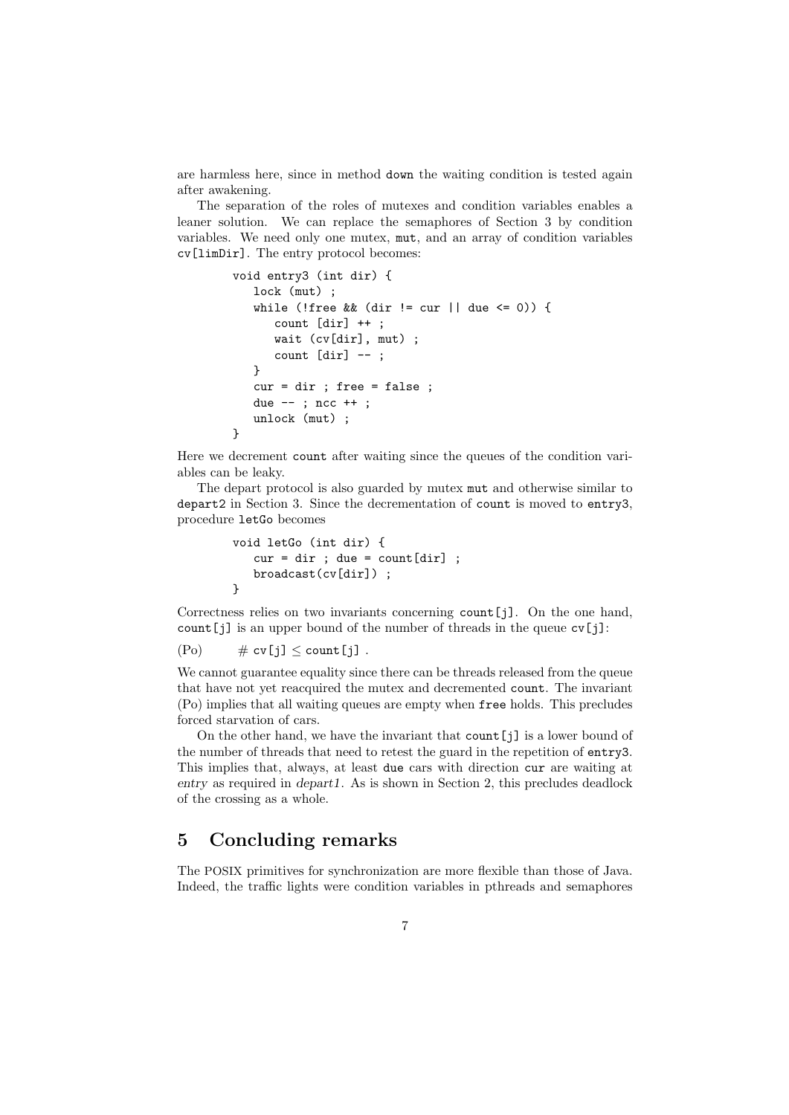are harmless here, since in method down the waiting condition is tested again after awakening.

The separation of the roles of mutexes and condition variables enables a leaner solution. We can replace the semaphores of Section 3 by condition variables. We need only one mutex, mut, and an array of condition variables cv[limDir]. The entry protocol becomes:

```
void entry3 (int dir) {
   lock (mut) ;
   while (!free && (dir != cur || due <= 0)) {
      count [dir] ++ ;
      wait (cv[dir], mut) ;
      count [dir] --;
   }
   cur = dir ; free = false ;
   due -- ; ncc ++ ;
   unlock (mut) ;
}
```
Here we decrement count after waiting since the queues of the condition variables can be leaky.

The depart protocol is also guarded by mutex mut and otherwise similar to depart2 in Section 3. Since the decrementation of count is moved to entry3, procedure letGo becomes

```
void letGo (int dir) {
   cur = dir; due = count[dir]:
   broadcast(cv[dir]) ;
}
```
Correctness relies on two invariants concerning count[j]. On the one hand, count[j] is an upper bound of the number of threads in the queue cv[j]:

$$
(Po) \qquad \# \text{ cv}[j] \leq \text{count}[j] .
$$

We cannot guarantee equality since there can be threads released from the queue that have not yet reacquired the mutex and decremented count. The invariant (Po) implies that all waiting queues are empty when free holds. This precludes forced starvation of cars.

On the other hand, we have the invariant that count  $[i]$  is a lower bound of the number of threads that need to retest the guard in the repetition of entry3. This implies that, always, at least due cars with direction cur are waiting at entry as required in depart1. As is shown in Section 2, this precludes deadlock of the crossing as a whole.

### 5 Concluding remarks

The POSIX primitives for synchronization are more flexible than those of Java. Indeed, the traffic lights were condition variables in pthreads and semaphores